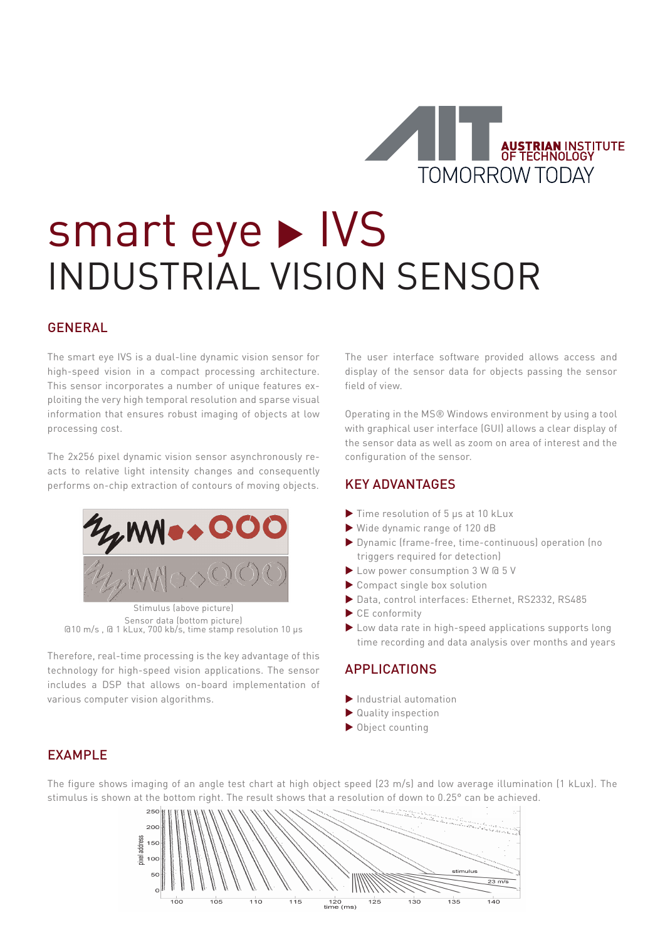

# smart eye > IVS INDUSTRIAL VISION SENSOR

## GENERAL

The smart eye IVS is a dual-line dynamic vision sensor for high-speed vision in a compact processing architecture. This sensor incorporates a number of unique features exploiting the very high temporal resolution and sparse visual information that ensures robust imaging of objects at low processing cost.

The 2x256 pixel dynamic vision sensor asynchronously reacts to relative light intensity changes and consequently performs on-chip extraction of contours of moving objects.



Stimulus (above picture) Sensor data (bottom picture) @10 m/s , @ 1 kLux, 700 kb/s, time stamp resolution 10 μs

Therefore, real-time processing is the key advantage of this technology for high-speed vision applications. The sensor includes a DSP that allows on-board implementation of various computer vision algorithms.

The user interface software provided allows access and display of the sensor data for objects passing the sensor field of view.

Operating in the MS® Windows environment by using a tool with graphical user interface (GUI) allows a clear display of the sensor data as well as zoom on area of interest and the configuration of the sensor.

# KEY ADVANTAGES

- Time resolution of 5 μs at 10 kLux
- Wide dynamic range of 120 dB
- Dynamic (frame-free, time-continuous) operation (no triggers required for detection)
- Low power consumption 3 W @ 5 V
- Compact single box solution
- Data, control interfaces: Ethernet, RS2332, RS485
- CE conformity
- ▶ Low data rate in high-speed applications supports long time recording and data analysis over months and years

# APPLICATIONS

- Industrial automation
- Quality inspection
- ▶ Object counting

## EXAMPLE

The figure shows imaging of an angle test chart at high object speed (23 m/s) and low average illumination (1 kLux). The stimulus is shown at the bottom right. The result shows that a resolution of down to 0.25° can be achieved.